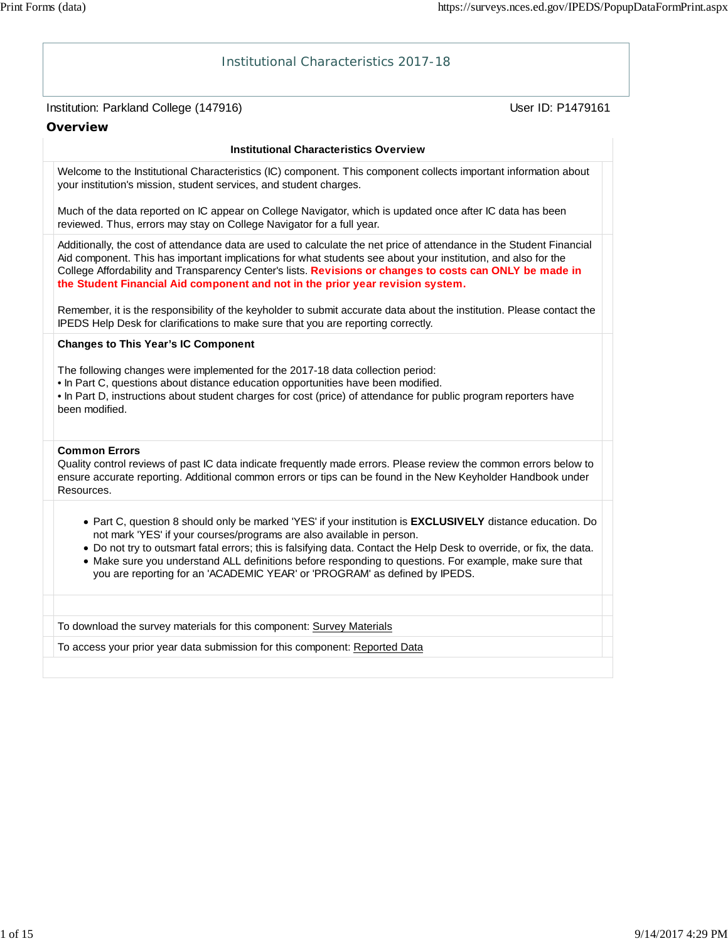| Institutional Characteristics 2017-18                                                                                                                                                                                                                                                                                                                                                                                                                                                               |                   |
|-----------------------------------------------------------------------------------------------------------------------------------------------------------------------------------------------------------------------------------------------------------------------------------------------------------------------------------------------------------------------------------------------------------------------------------------------------------------------------------------------------|-------------------|
| Institution: Parkland College (147916)                                                                                                                                                                                                                                                                                                                                                                                                                                                              | User ID: P1479161 |
| <b>Overview</b>                                                                                                                                                                                                                                                                                                                                                                                                                                                                                     |                   |
| <b>Institutional Characteristics Overview</b>                                                                                                                                                                                                                                                                                                                                                                                                                                                       |                   |
| Welcome to the Institutional Characteristics (IC) component. This component collects important information about<br>your institution's mission, student services, and student charges.                                                                                                                                                                                                                                                                                                              |                   |
| Much of the data reported on IC appear on College Navigator, which is updated once after IC data has been<br>reviewed. Thus, errors may stay on College Navigator for a full year.                                                                                                                                                                                                                                                                                                                  |                   |
| Additionally, the cost of attendance data are used to calculate the net price of attendance in the Student Financial<br>Aid component. This has important implications for what students see about your institution, and also for the<br>College Affordability and Transparency Center's lists. Revisions or changes to costs can ONLY be made in<br>the Student Financial Aid component and not in the prior year revision system.                                                                 |                   |
| Remember, it is the responsibility of the keyholder to submit accurate data about the institution. Please contact the<br>IPEDS Help Desk for clarifications to make sure that you are reporting correctly.                                                                                                                                                                                                                                                                                          |                   |
| <b>Changes to This Year's IC Component</b>                                                                                                                                                                                                                                                                                                                                                                                                                                                          |                   |
| The following changes were implemented for the 2017-18 data collection period:<br>. In Part C, questions about distance education opportunities have been modified.<br>• In Part D, instructions about student charges for cost (price) of attendance for public program reporters have<br>been modified.                                                                                                                                                                                           |                   |
|                                                                                                                                                                                                                                                                                                                                                                                                                                                                                                     |                   |
| <b>Common Errors</b><br>Quality control reviews of past IC data indicate frequently made errors. Please review the common errors below to<br>ensure accurate reporting. Additional common errors or tips can be found in the New Keyholder Handbook under<br>Resources.                                                                                                                                                                                                                             |                   |
| • Part C, question 8 should only be marked 'YES' if your institution is EXCLUSIVELY distance education. Do<br>not mark 'YES' if your courses/programs are also available in person.<br>. Do not try to outsmart fatal errors; this is falsifying data. Contact the Help Desk to override, or fix, the data.<br>• Make sure you understand ALL definitions before responding to questions. For example, make sure that<br>you are reporting for an 'ACADEMIC YEAR' or 'PROGRAM' as defined by IPEDS. |                   |
| To download the survey materials for this component: Survey Materials                                                                                                                                                                                                                                                                                                                                                                                                                               |                   |
| To access your prior year data submission for this component: Reported Data                                                                                                                                                                                                                                                                                                                                                                                                                         |                   |
|                                                                                                                                                                                                                                                                                                                                                                                                                                                                                                     |                   |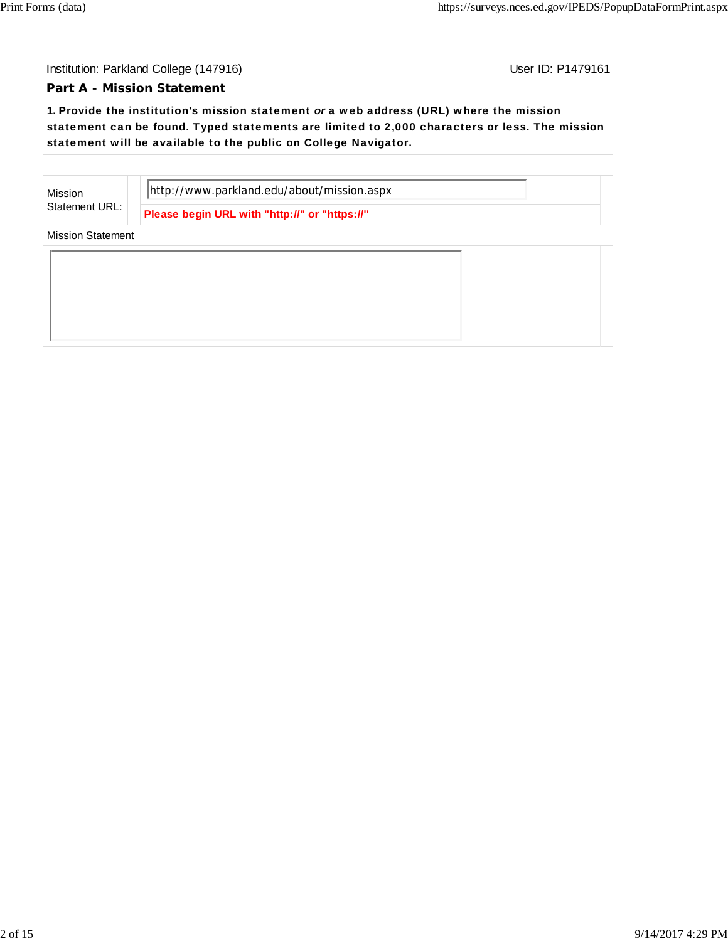Institution: Parkland College (147916) Contract College (147916)

## **Part A - Mission Statement**

**1.** Provide the institution's mission statement *or* a web address (URL) where the mission statement can be found. Typed statements are limited to 2,000 characters or less. The mission statement will be available to the public on College Navigator.

Mission Statement URL: http://www.parkland.edu/about/mission.aspx

**Please begin URL with "http://" or "https://"**

Mission Statement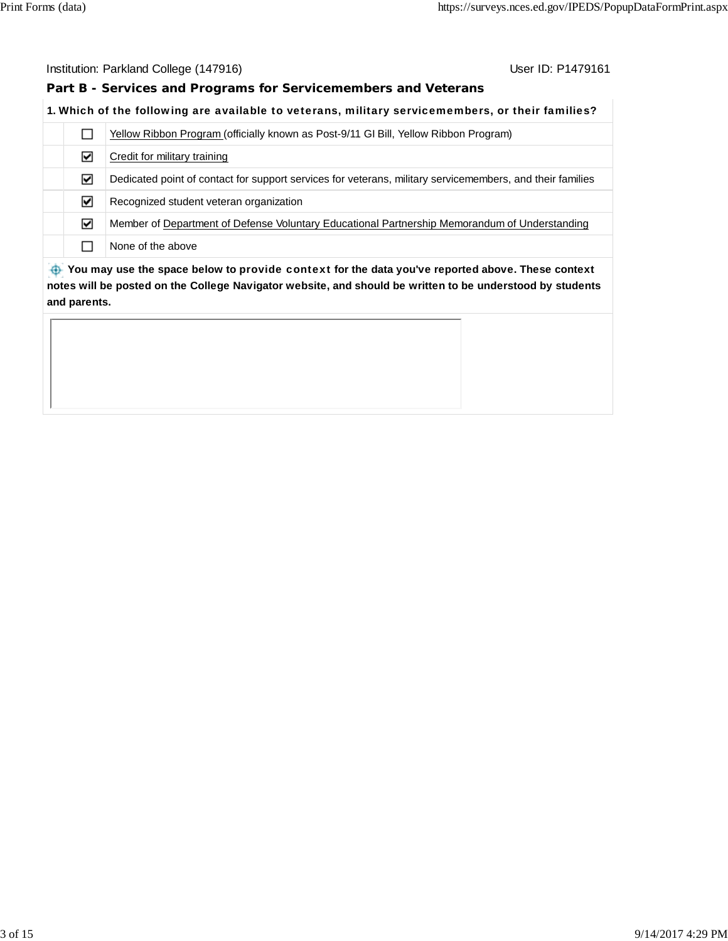#### Institution: Parkland College (147916) Contract College (147916)

**Part B - Services and Programs for Servicemembers and Veterans**

## **1.** Which of the following are available to veterans, military servicemembers, or their families?

|                                                                                                  | Yellow Ribbon Program (officially known as Post-9/11 GI Bill, Yellow Ribbon Program)                      |  |
|--------------------------------------------------------------------------------------------------|-----------------------------------------------------------------------------------------------------------|--|
| ☑                                                                                                | Credit for military training                                                                              |  |
| ☑                                                                                                | Dedicated point of contact for support services for veterans, military servicemembers, and their families |  |
| ☑                                                                                                | Recognized student veteran organization                                                                   |  |
| ☑                                                                                                | Member of Department of Defense Voluntary Educational Partnership Memorandum of Understanding             |  |
|                                                                                                  | None of the above                                                                                         |  |
| Nou may use the space below to provide context for the data veulye reported above. These context |                                                                                                           |  |

 **You may use the space below to** provide context **for the data you've reported above. These context notes will be posted on the College Navigator website, and should be written to be understood by students and parents.**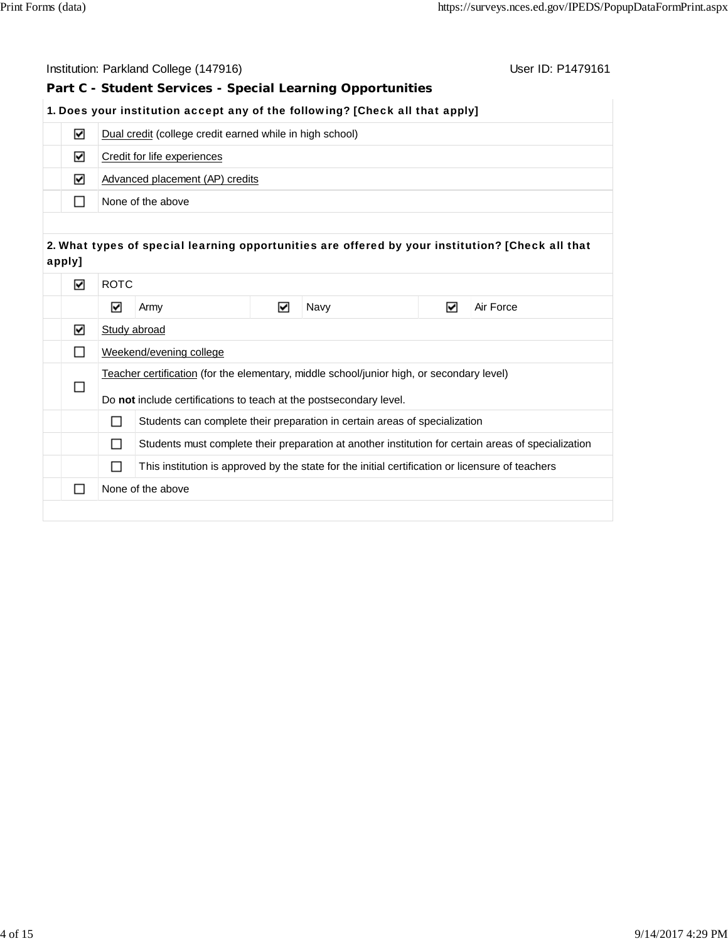|        |        |                             | Institution: Parkland College (147916)                             |   |                                                                                                  |   | User ID: P1479161                                                                                   |
|--------|--------|-----------------------------|--------------------------------------------------------------------|---|--------------------------------------------------------------------------------------------------|---|-----------------------------------------------------------------------------------------------------|
|        |        |                             |                                                                    |   | Part C - Student Services - Special Learning Opportunities                                       |   |                                                                                                     |
|        |        |                             |                                                                    |   | 1. Does your institution accept any of the following? [Check all that apply]                     |   |                                                                                                     |
|        | ☑      |                             | Dual credit (college credit earned while in high school)           |   |                                                                                                  |   |                                                                                                     |
|        | ☑      | Credit for life experiences |                                                                    |   |                                                                                                  |   |                                                                                                     |
|        | ☑      |                             | Advanced placement (AP) credits                                    |   |                                                                                                  |   |                                                                                                     |
|        | П      |                             | None of the above                                                  |   |                                                                                                  |   |                                                                                                     |
|        |        |                             |                                                                    |   |                                                                                                  |   |                                                                                                     |
| apply] |        |                             |                                                                    |   |                                                                                                  |   | 2. What types of special learning opportunities are offered by your institution? [Check all that    |
|        | ☑      | <b>ROTC</b>                 |                                                                    |   |                                                                                                  |   |                                                                                                     |
|        |        | $\blacktriangledown$        | Army                                                               | ☑ | Navy                                                                                             | ☑ | Air Force                                                                                           |
|        | ☑      | Study abroad                |                                                                    |   |                                                                                                  |   |                                                                                                     |
|        | П      |                             | Weekend/evening college                                            |   |                                                                                                  |   |                                                                                                     |
|        |        |                             |                                                                    |   | Teacher certification (for the elementary, middle school/junior high, or secondary level)        |   |                                                                                                     |
|        | □      |                             | Do not include certifications to teach at the postsecondary level. |   |                                                                                                  |   |                                                                                                     |
|        |        | □                           |                                                                    |   | Students can complete their preparation in certain areas of specialization                       |   |                                                                                                     |
|        |        | □                           |                                                                    |   |                                                                                                  |   | Students must complete their preparation at another institution for certain areas of specialization |
|        |        | □                           |                                                                    |   | This institution is approved by the state for the initial certification or licensure of teachers |   |                                                                                                     |
|        | $\Box$ |                             | None of the above                                                  |   |                                                                                                  |   |                                                                                                     |
|        |        |                             |                                                                    |   |                                                                                                  |   |                                                                                                     |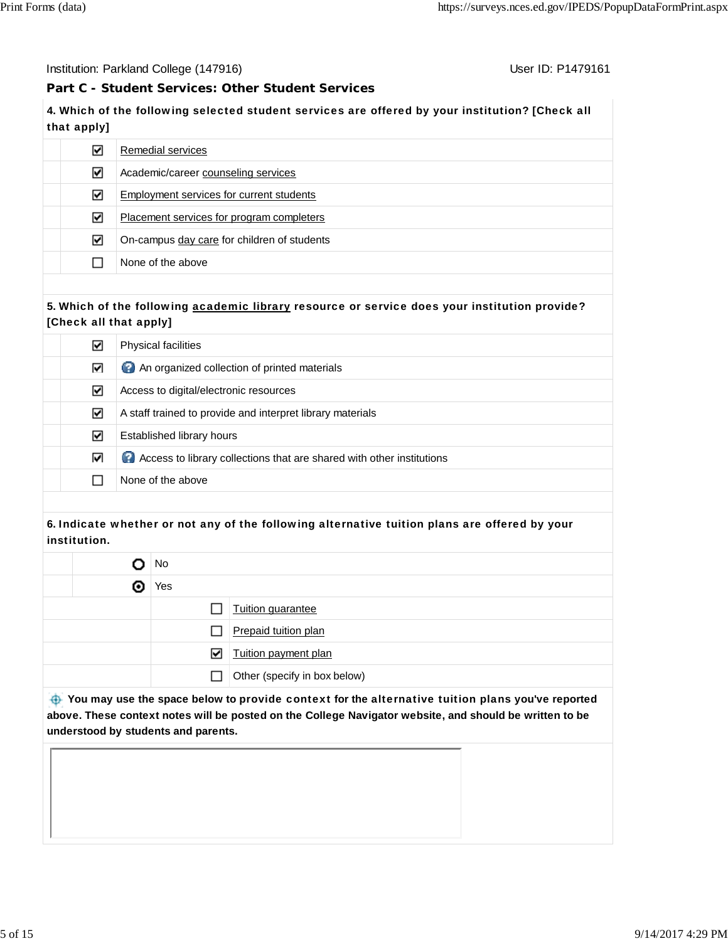Institution: Parkland College (147916) November 2012 12: P1479161

# **Part C - Student Services: Other Student Services**

**4.** Which of the following selected student services are offered by your institution? [Check all that apply]

| ∨ | Remedial services                           |
|---|---------------------------------------------|
| ☑ | Academic/career counseling services         |
| V | Employment services for current students    |
| ∨ | Placement services for program completers   |
| ☑ | On-campus day care for children of students |
|   | None of the above                           |

## **5.** Which of the following academic library resource or service does your institution provide? [Check all that apply]

| M | <b>Physical facilities</b>                                              |
|---|-------------------------------------------------------------------------|
| ↜ | An organized collection of printed materials                            |
| ↜ | Access to digital/electronic resources                                  |
| ⊻ | A staff trained to provide and interpret library materials              |
| V | Established library hours                                               |
| M | 2 Access to library collections that are shared with other institutions |
|   | None of the above                                                       |

# **6.** Indicate whether or not any of the following alternative tuition plans are offered by your institution.

|   | No           |                              |  |  |
|---|--------------|------------------------------|--|--|
| O | Yes          |                              |  |  |
|   |              | Tuition guarantee            |  |  |
|   | ΙI           | Prepaid tuition plan         |  |  |
|   | ☑            | Tuition payment plan         |  |  |
|   | $\mathsf{L}$ | Other (specify in box below) |  |  |

 **You may use the space below to** provide context **for the** alternative tuition plans **you've reported above. These context notes will be posted on the College Navigator website, and should be written to be understood by students and parents.**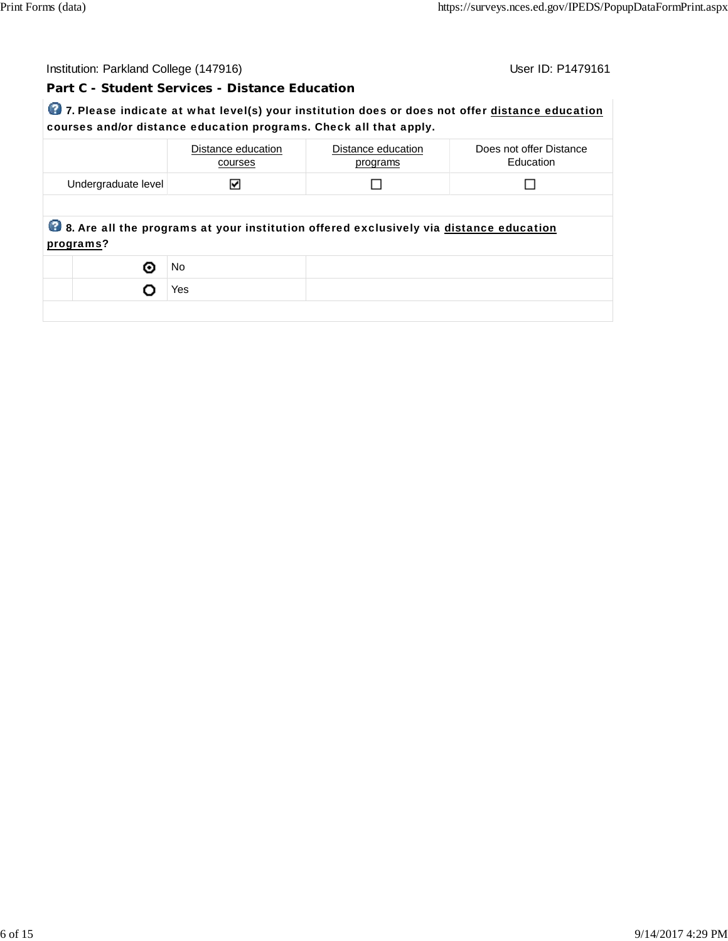| Institution: Parkland College (147916)                                                         | User ID: P1479161 |
|------------------------------------------------------------------------------------------------|-------------------|
| Part C - Student Services - Distance Education                                                 |                   |
| 7. Please indicate at what level(s) your institution does or does not offer distance education |                   |
| courses and/or distance education programs. Check all that apply.                              |                   |

|                     | Distance education<br>courses | Distance education<br>programs                                                         | Does not offer Distance<br>Education |
|---------------------|-------------------------------|----------------------------------------------------------------------------------------|--------------------------------------|
| Undergraduate level | M                             |                                                                                        |                                      |
|                     |                               |                                                                                        |                                      |
| programs?           |                               | 8. Are all the programs at your institution offered exclusively via distance education |                                      |
| ⊙                   | No.                           |                                                                                        |                                      |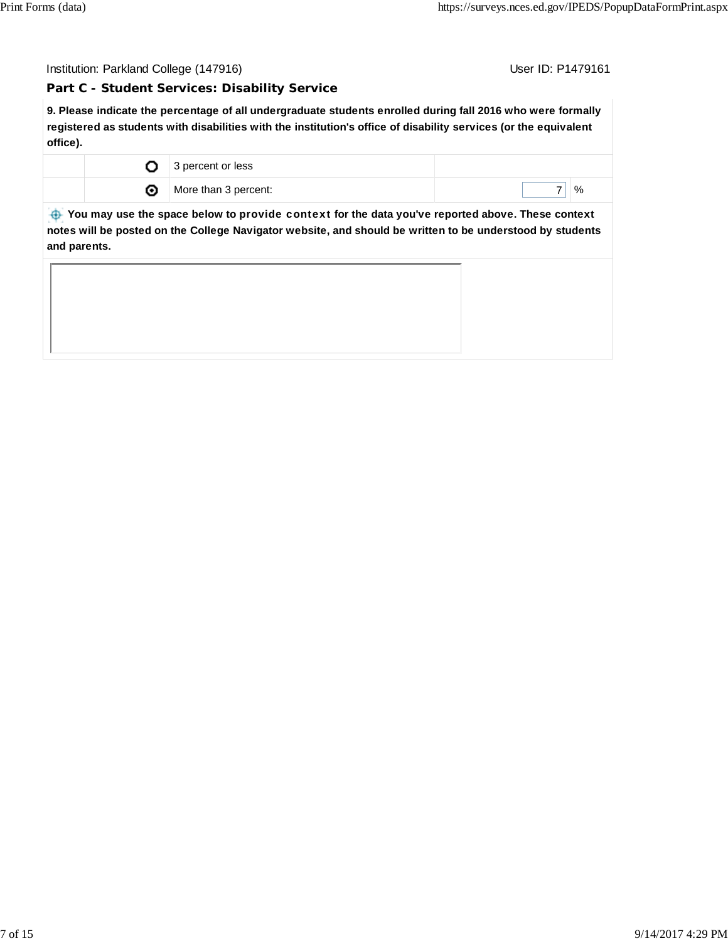Institution: Parkland College (147916) Contract College (147916)

**Part C - Student Services: Disability Service**

**9. Please indicate the percentage of all undergraduate students enrolled during fall 2016 who were formally registered as students with disabilities with the institution's office of disability services (or the equivalent office).**

| 3 percent or less    |   |
|----------------------|---|
| More than 3 percent: | % |

 **You may use the space below to** provide context **for the data you've reported above. These context notes will be posted on the College Navigator website, and should be written to be understood by students and parents.**

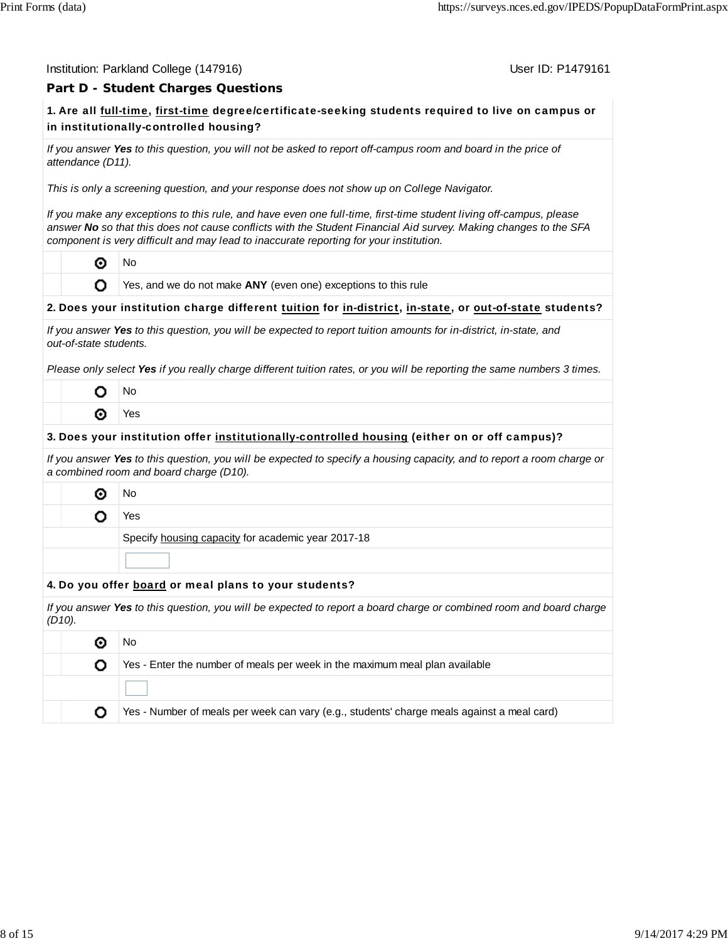#### Institution: Parkland College (147916) November 2012 12: P1479161

## **Part D - Student Charges Questions**

# **1.** Are all full-time, first-time degree/certificate-seeking students required to live on campus or in institutionally-controlled housing?

*If you answer Yes to this question, you will not be asked to report off-campus room and board in the price of attendance (D11).*

*This is only a screening question, and your response does not show up on College Navigator.*

*If you make any exceptions to this rule, and have even one full-time, first-time student living off-campus, please answer No so that this does not cause conflicts with the Student Financial Aid survey. Making changes to the SFA component is very difficult and may lead to inaccurate reporting for your institution.*

⊙ No

O

Yes, and we do not make **ANY** (even one) exceptions to this rule

## **2.** Does your institution charge different tuition for in-district, in-state, or out-of-state students?

| If you answer Yes to this question, you will be expected to report tuition amounts for in-district, in-state, and |  |
|-------------------------------------------------------------------------------------------------------------------|--|
| out-of-state students.                                                                                            |  |

*Please only select Yes if you really charge different tuition rates, or you will be reporting the same numbers 3 times.*

| J٥           |
|--------------|
| ✓<br>ς<br>ς. |

#### **3.** Does your institution offer institutionally-controlled housing (either on or off campus)?

*If you answer Yes to this question, you will be expected to specify a housing capacity, and to report a room charge or a combined room and board charge (D10).*

◉ No

o

Yes

Specify housing capacity for academic year 2017-18

#### **4.** Do you offer board or meal plans to your students?

*If you answer Yes to this question, you will be expected to report a board charge or combined room and board charge (D10).*

|  | Νo                                                                                         |
|--|--------------------------------------------------------------------------------------------|
|  | Yes - Enter the number of meals per week in the maximum meal plan available                |
|  |                                                                                            |
|  | Yes - Number of meals per week can vary (e.g., students' charge meals against a meal card) |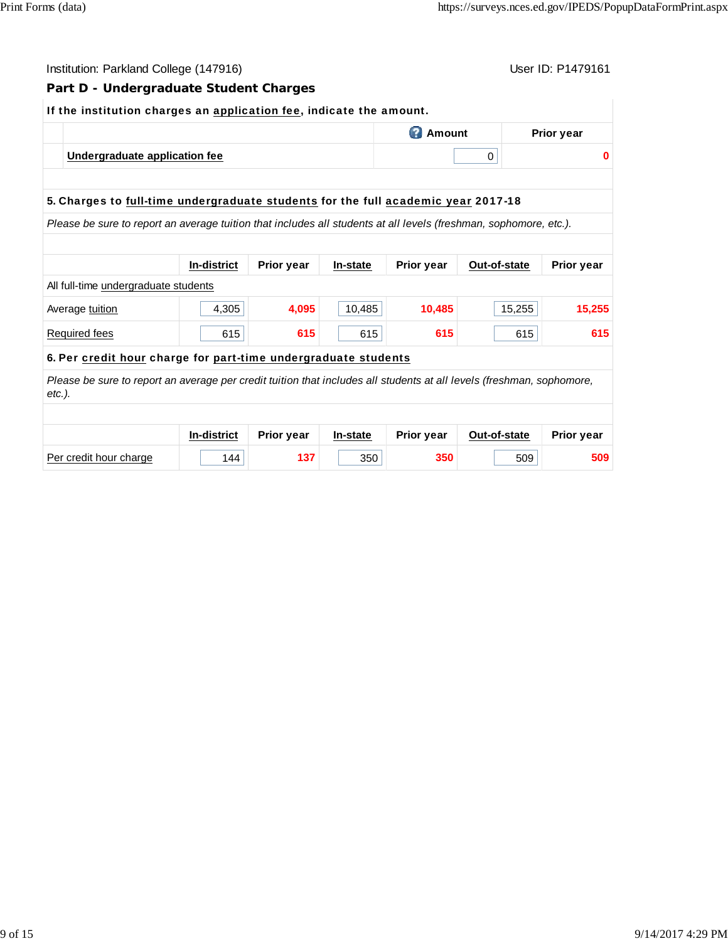| User ID: P1479161<br>Institution: Parkland College (147916)                                                                        |                                                                                   |            |          |                   |              |                   |  |  |  |
|------------------------------------------------------------------------------------------------------------------------------------|-----------------------------------------------------------------------------------|------------|----------|-------------------|--------------|-------------------|--|--|--|
| Part D - Undergraduate Student Charges                                                                                             |                                                                                   |            |          |                   |              |                   |  |  |  |
| If the institution charges an application fee, indicate the amount.                                                                |                                                                                   |            |          |                   |              |                   |  |  |  |
|                                                                                                                                    | <b>2</b> Amount<br><b>Prior year</b>                                              |            |          |                   |              |                   |  |  |  |
| Undergraduate application fee                                                                                                      |                                                                                   |            |          | $\mathbf 0$<br>0  |              |                   |  |  |  |
|                                                                                                                                    |                                                                                   |            |          |                   |              |                   |  |  |  |
|                                                                                                                                    | 5. Charges to full-time undergraduate students for the full academic year 2017-18 |            |          |                   |              |                   |  |  |  |
| Please be sure to report an average tuition that includes all students at all levels (freshman, sophomore, etc.).                  |                                                                                   |            |          |                   |              |                   |  |  |  |
|                                                                                                                                    |                                                                                   |            |          |                   |              |                   |  |  |  |
|                                                                                                                                    | <b>In-district</b>                                                                | Prior year | In-state | Prior year        | Out-of-state | <b>Prior year</b> |  |  |  |
| All full-time undergraduate students                                                                                               |                                                                                   |            |          |                   |              |                   |  |  |  |
| Average tuition                                                                                                                    | 4,305                                                                             | 4,095      | 10,485   | 10,485            | 15,255       | 15,255            |  |  |  |
| <b>Required fees</b>                                                                                                               | 615                                                                               | 615        | 615      | 615               | 615          | 615               |  |  |  |
| 6. Per credit hour charge for part-time undergraduate students                                                                     |                                                                                   |            |          |                   |              |                   |  |  |  |
| Please be sure to report an average per credit tuition that includes all students at all levels (freshman, sophomore,<br>$etc.$ ). |                                                                                   |            |          |                   |              |                   |  |  |  |
|                                                                                                                                    |                                                                                   |            |          |                   |              |                   |  |  |  |
|                                                                                                                                    | In-district                                                                       | Prior year | In-state | <b>Prior year</b> | Out-of-state | <b>Prior year</b> |  |  |  |
| Per credit hour charge                                                                                                             | 144                                                                               | 137        | 350      | 350               | 509          | 509               |  |  |  |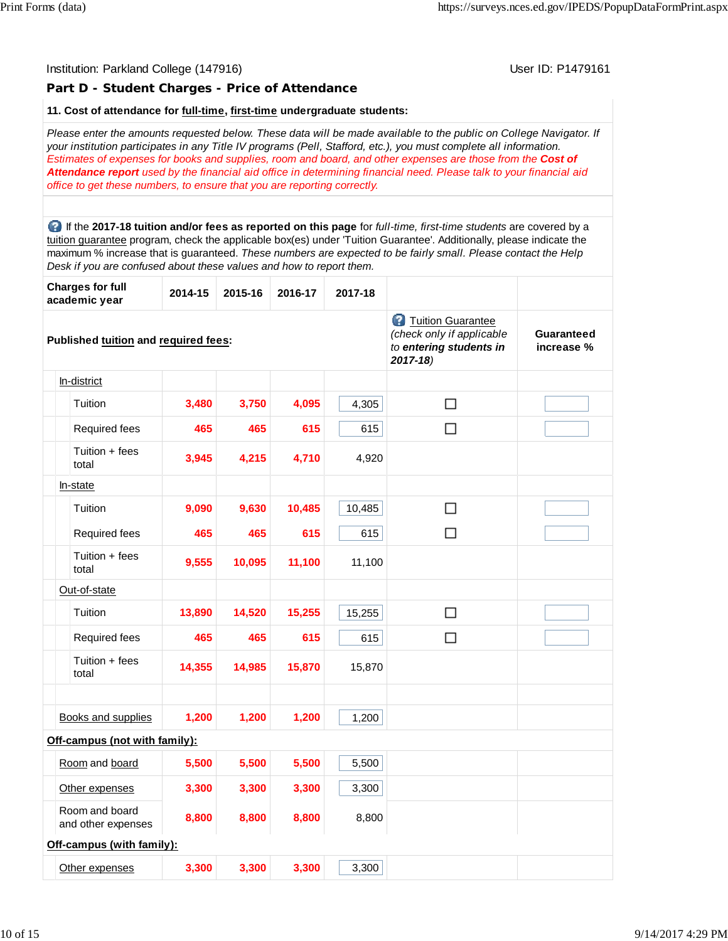# Institution: Parkland College (147916) November 2012 12: P1479161 **Part D - Student Charges - Price of Attendance 11. Cost of attendance for full-time, first-time undergraduate students:** *Please enter the amounts requested below. These data will be made available to the public on College Navigator. If your institution participates in any Title IV programs (Pell, Stafford, etc.), you must complete all information. Estimates of expenses for books and supplies, room and board, and other expenses are those from the Cost of Attendance report used by the financial aid office in determining financial need. Please talk to your financial aid office to get these numbers, to ensure that you are reporting correctly.* If the **2017-18 tuition and/or fees as reported on this page** for *full-time, first-time students* are covered by a tuition guarantee program, check the applicable box(es) under 'Tuition Guarantee'. Additionally, please indicate the maximum % increase that is guaranteed. *These numbers are expected to be fairly small. Please contact the Help Desk if you are confused about these values and how to report them.* **Charges for full academic year 2014-15 2015-16 2016-17 2017-18 Tuition Guarantee** *(check only if applicable* **Guaranteed Published tuition and required fees:** *to entering students in* **increase %** *2017-18)* In-district  $\Box$ Tuition **3,480 3,750 4,095** 4,305 Required fees **465 465 615** 615  $\Box$ Tuition + fees total **3,945 4,215 4,710** 4,920 In-state Tuition **9,090 9,630 10,485** 10,485  $\Box$ Required fees **465 465 615** 615  $\Box$ Tuition + fees total **9,555 10,095 11,100** 11,100 Out-of-state Tuition **13,890 14,520 15,255** 15,255  $\Box$ Required fees **465 465 615** 615  $\Box$ Tuition + fees total **14,355 14,985 15,870** 15,870 Books and supplies **1,200 1,200 1,200** 1,200 **Off-campus (not with family):** Room and board **5,500 5,500 5,500** 5,500 Other expenses **3,300 3,300 3,300** 3,300 Room and board and other expenses **8,800 8,800 8,800** 8,800 **Off-campus (with family):** Other expenses **3,300 3,300 3,300** 3,300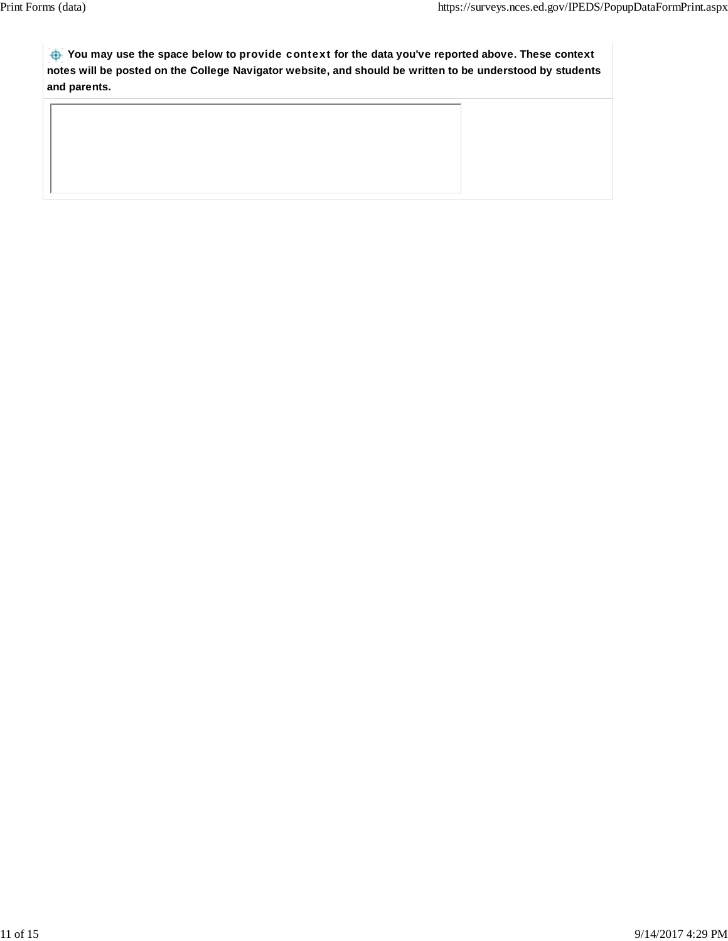**You may use the space below to** provide context **for the data you've reported above. These context notes will be posted on the College Navigator website, and should be written to be understood by students and parents.**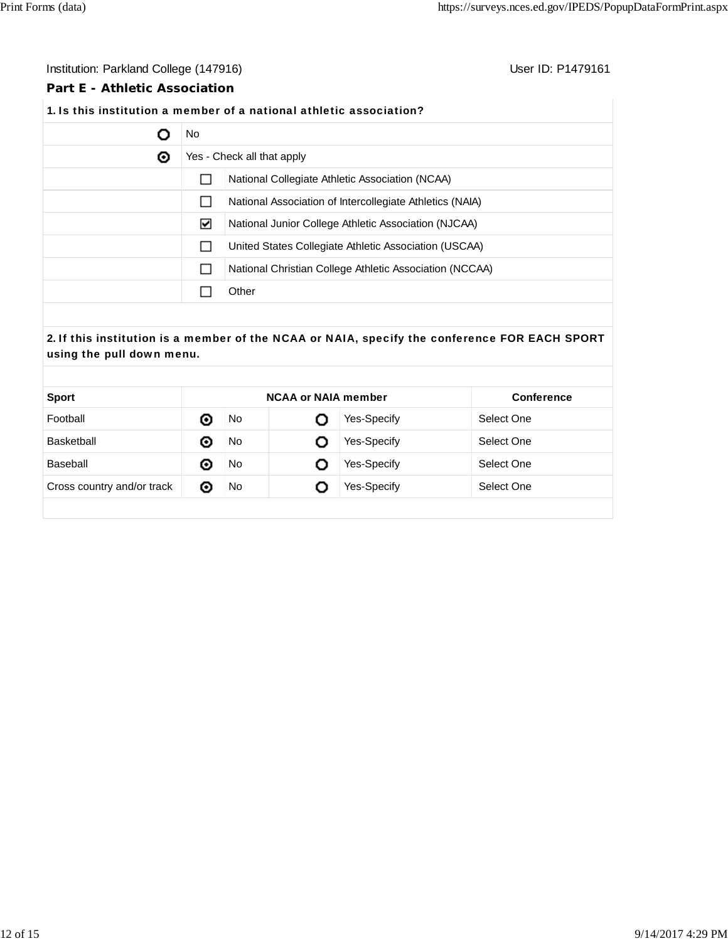# Institution: Parkland College (147916) **Institution: Parkland College (147916**)

## **Part E - Athletic Association**

# **1.** Is this institution a member of a national athletic association?

|   | No                         |                                                          |  |
|---|----------------------------|----------------------------------------------------------|--|
| ◉ | Yes - Check all that apply |                                                          |  |
|   |                            | National Collegiate Athletic Association (NCAA)          |  |
|   |                            | National Association of Intercollegiate Athletics (NAIA) |  |
|   | ⊻                          | National Junior College Athletic Association (NJCAA)     |  |
|   |                            | United States Collegiate Athletic Association (USCAA)    |  |
|   |                            | National Christian College Athletic Association (NCCAA)  |  |
|   |                            | Other                                                    |  |

# **2.** If this institution is a member of the NCAA or NAIA, specify the conference FOR EACH SPORT using the pull down menu.

| <b>Sport</b>               |   | <b>NCAA or NAIA member</b> |   | <b>Conference</b> |            |
|----------------------------|---|----------------------------|---|-------------------|------------|
| Football                   | ⊙ | No.                        |   | Yes-Specify       | Select One |
| Basketball                 | ⊙ | No                         | O | Yes-Specify       | Select One |
| Baseball                   | ⊙ | No                         | O | Yes-Specify       | Select One |
| Cross country and/or track | O | No                         |   | Yes-Specify       | Select One |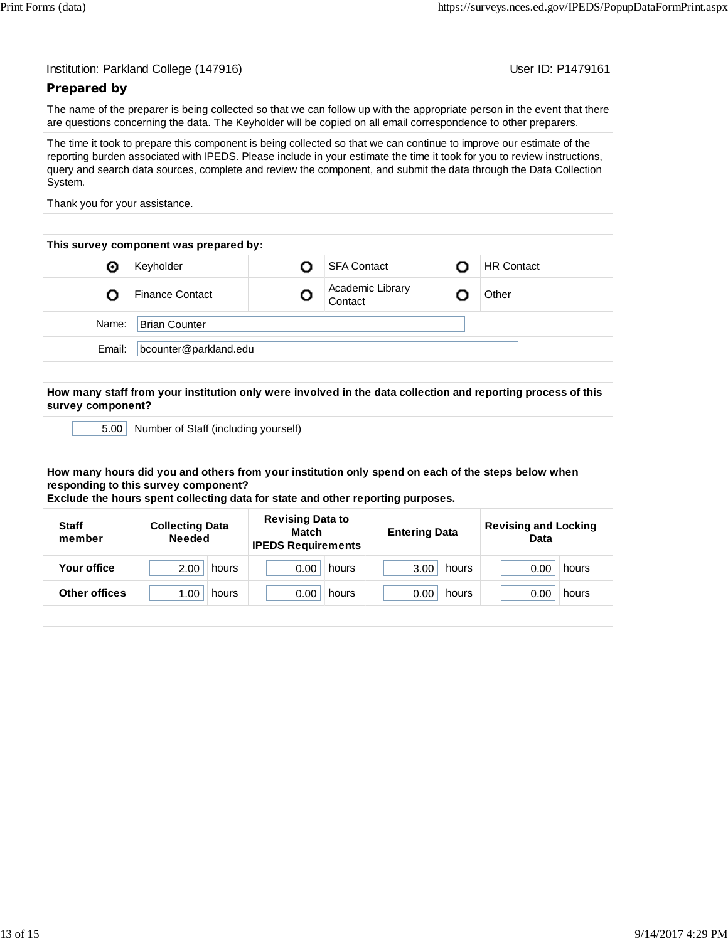User ID: P1479161

# **Prepared by**

The name of the preparer is being collected so that we can follow up with the appropriate person in the event that there are questions concerning the data. The Keyholder will be copied on all email correspondence to other preparers.

The time it took to prepare this component is being collected so that we can continue to improve our estimate of the reporting burden associated with IPEDS. Please include in your estimate the time it took for you to review instructions, query and search data sources, complete and review the component, and submit the data through the Data Collection System.

Thank you for your assistance.

| This survey component was prepared by: |  |  |  |  |  |  |  |  |
|----------------------------------------|--|--|--|--|--|--|--|--|
| <b>HR Contact</b>                      |  |  |  |  |  |  |  |  |
|                                        |  |  |  |  |  |  |  |  |
|                                        |  |  |  |  |  |  |  |  |
|                                        |  |  |  |  |  |  |  |  |
|                                        |  |  |  |  |  |  |  |  |

**How many staff from your institution only were involved in the data collection and reporting process of this survey component?**

5.00 Number of Staff (including yourself)

**How many hours did you and others from your institution only spend on each of the steps below when responding to this survey component?**

**Exclude the hours spent collecting data for state and other reporting purposes.**

| <b>Staff</b><br>member | <b>Collecting Data</b><br><b>Needed</b> | <b>Revising Data to</b><br>Match<br><b>IPEDS Requirements</b> | <b>Entering Data</b> | <b>Revising and Locking</b><br>Data |  |
|------------------------|-----------------------------------------|---------------------------------------------------------------|----------------------|-------------------------------------|--|
| Your office            | 2.00<br>hours                           | 0.00<br>hours                                                 | 3.00<br>hours        | 0.00<br>hours                       |  |
| Other offices          | 1.00<br>hours                           | 0.00<br>hours                                                 | 0.00<br>hours        | 0.00<br>hours                       |  |
|                        |                                         |                                                               |                      |                                     |  |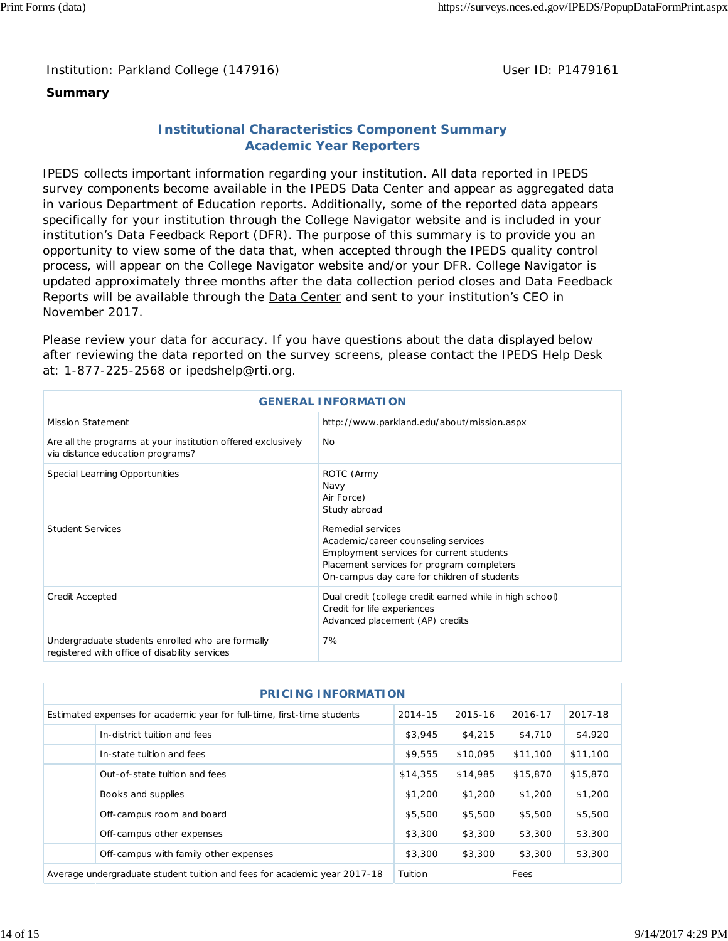Institution: Parkland College (147916) **Distribution: Parkland College (1479161** College College College College College College College College College College College College College College College College College Colle

# **Summary**

# **Institutional Characteristics Component Summary Academic Year Reporters**

IPEDS collects important information regarding your institution. All data reported in IPEDS survey components become available in the IPEDS Data Center and appear as aggregated data in various Department of Education reports. Additionally, some of the reported data appears specifically for your institution through the College Navigator website and is included in your institution's Data Feedback Report (DFR). The purpose of this summary is to provide you an opportunity to view some of the data that, when accepted through the IPEDS quality control process, will appear on the College Navigator website and/or your DFR. College Navigator is updated approximately three months after the data collection period closes and Data Feedback Reports will be available through the Data Center and sent to your institution's CEO in November 2017.

Please review your data for accuracy. If you have questions about the data displayed below after reviewing the data reported on the survey screens, please contact the IPEDS Help Desk at: 1-877-225-2568 or ipedshelp@rti.org.

| <b>GENERAL INFORMATION</b>                                                                        |                                                                                                                                                                                                  |  |  |  |
|---------------------------------------------------------------------------------------------------|--------------------------------------------------------------------------------------------------------------------------------------------------------------------------------------------------|--|--|--|
| Mission Statement                                                                                 | http://www.parkland.edu/about/mission.aspx                                                                                                                                                       |  |  |  |
| Are all the programs at your institution offered exclusively<br>via distance education programs?  | <b>No</b>                                                                                                                                                                                        |  |  |  |
| Special Learning Opportunities                                                                    | ROTC (Army<br>Navy<br>Air Force)<br>Study abroad                                                                                                                                                 |  |  |  |
| <b>Student Services</b>                                                                           | Remedial services<br>Academic/career counseling services<br>Employment services for current students<br>Placement services for program completers<br>On-campus day care for children of students |  |  |  |
| Credit Accepted                                                                                   | Dual credit (college credit earned while in high school)<br>Credit for life experiences<br>Advanced placement (AP) credits                                                                       |  |  |  |
| Undergraduate students enrolled who are formally<br>registered with office of disability services | 7%                                                                                                                                                                                               |  |  |  |

| <b>PRICING INFORMATION</b>                                                                                          |                                                                          |          |          |          |          |  |  |
|---------------------------------------------------------------------------------------------------------------------|--------------------------------------------------------------------------|----------|----------|----------|----------|--|--|
| 2014-15<br>2016-17<br>Estimated expenses for academic year for full-time, first-time students<br>2015-16<br>2017-18 |                                                                          |          |          |          |          |  |  |
|                                                                                                                     | In-district tuition and fees                                             | \$3,945  | \$4,215  | \$4,710  | \$4,920  |  |  |
|                                                                                                                     | In-state tuition and fees                                                | \$9,555  | \$10,095 | \$11,100 | \$11,100 |  |  |
|                                                                                                                     | Out-of-state tuition and fees                                            | \$14,355 | \$14,985 | \$15,870 | \$15,870 |  |  |
|                                                                                                                     | Books and supplies                                                       | \$1,200  | \$1,200  | \$1,200  | \$1,200  |  |  |
|                                                                                                                     | Off-campus room and board                                                | \$5,500  | \$5,500  | \$5,500  | \$5,500  |  |  |
|                                                                                                                     | Off-campus other expenses                                                | \$3,300  | \$3,300  | \$3,300  | \$3,300  |  |  |
|                                                                                                                     | Off-campus with family other expenses                                    | \$3,300  | \$3,300  | \$3,300  | \$3,300  |  |  |
|                                                                                                                     | Average undergraduate student tuition and fees for academic year 2017-18 | Tuition  |          | Fees     |          |  |  |